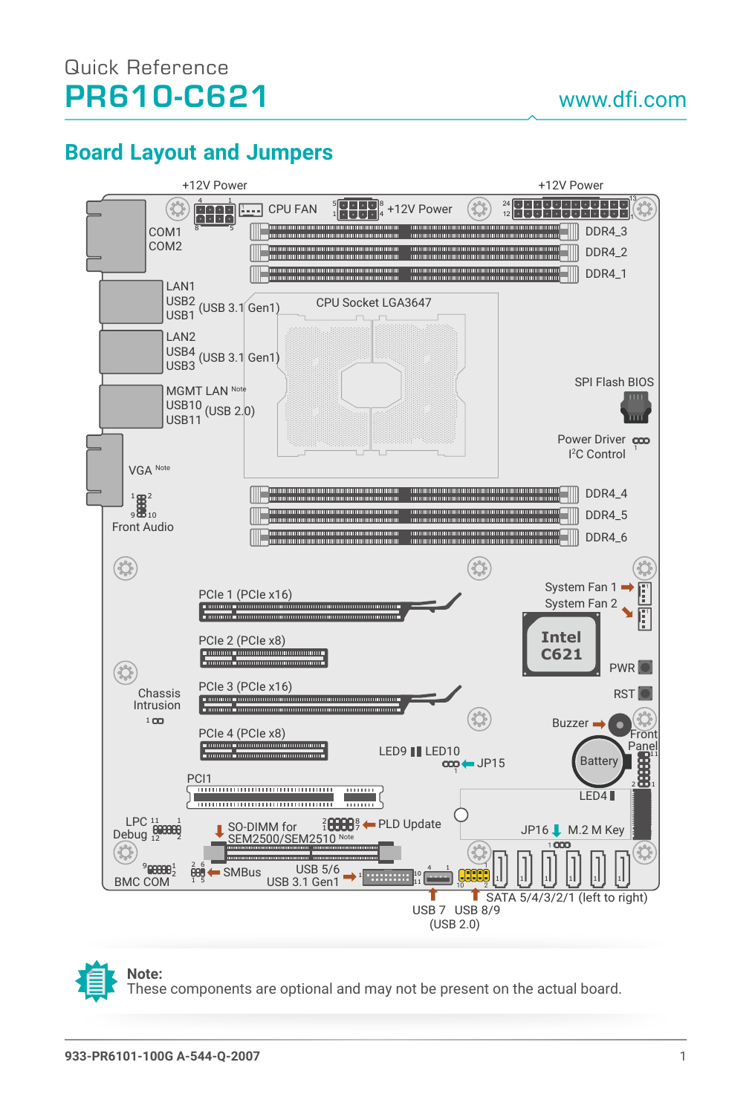# **Board Layout and Jumpers**



**Note:** These components are optional and may not be present on the actual board.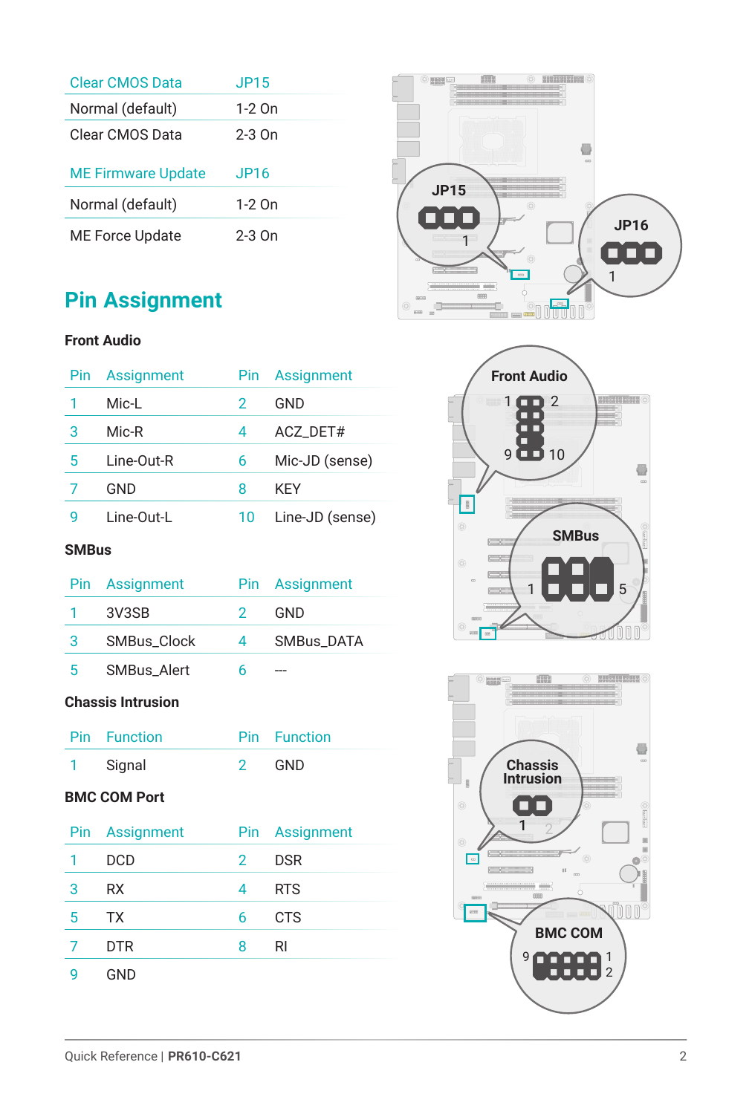| Clear CMOS Data           | JP15     |
|---------------------------|----------|
| Normal (default)          | 1-2 On   |
| Clear CMOS Data           | $2-3$ On |
|                           |          |
| <b>ME Firmware Update</b> | JP16     |
| Normal (default)          | $1-2$ On |

# **Pin Assignment**

## **Front Audio**

| Pin | Assignment | Pin. | Assignment      |
|-----|------------|------|-----------------|
|     | Mic-I      | 2    | GND             |
| 3   | Mic-R      | 4    | ACZ DET#        |
| 5   | Line-Out-R | 6    | Mic-JD (sense)  |
| 7   | GND        | 8    | KFY             |
| q   | Line-Out-L | 10   | Line-JD (sense) |

## **SMBus**

|    | Pin Assignment     |    | Pin Assignment    |
|----|--------------------|----|-------------------|
|    | 3V3SB              | 2. | GND               |
| 3  | <b>SMBus Clock</b> | 4  | <b>SMBus DATA</b> |
| .5 | <b>SMBus Alert</b> | h  |                   |

### **Chassis Intrusion**

| <b>Pin</b> Function | Pin Function |
|---------------------|--------------|
| Signal              | GND          |

## **BMC COM Port**

|   | Pin Assignment |   | Pin Assignment |
|---|----------------|---|----------------|
|   | <b>DCD</b>     | 2 | <b>DSR</b>     |
| 3 | <b>RX</b>      | 4 | <b>RTS</b>     |
| 5 | <b>TX</b>      | 6 | <b>CTS</b>     |
| 7 | <b>DTR</b>     | 8 | RI             |
|   | GND            |   |                |





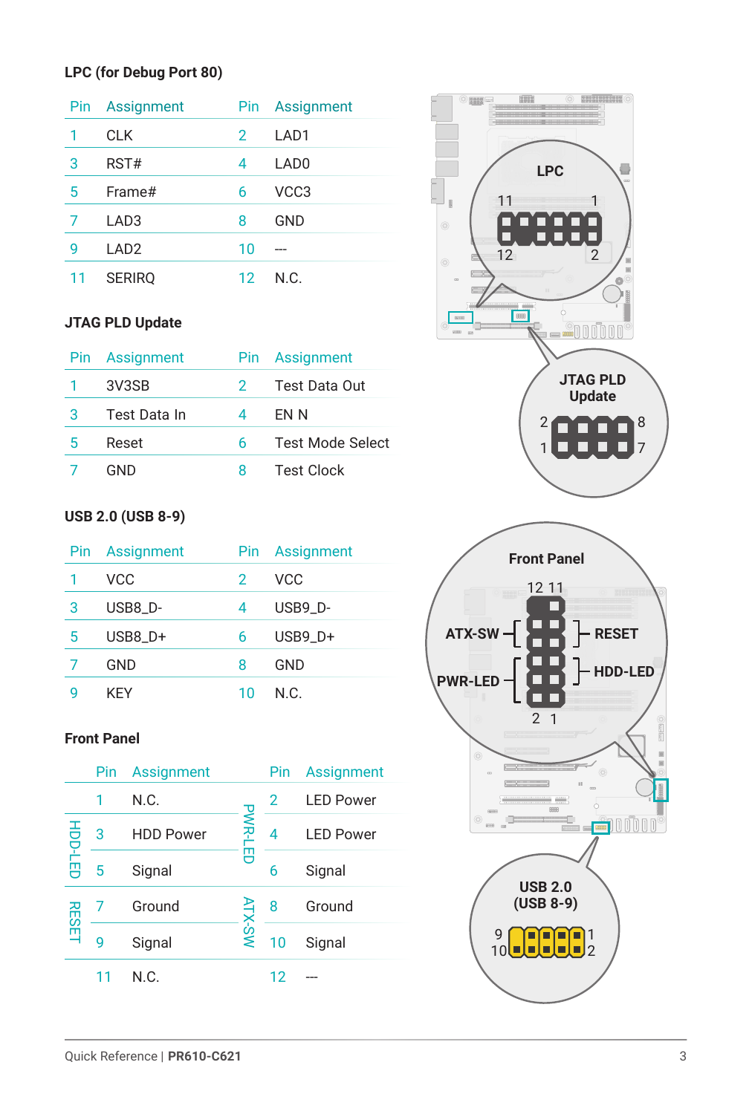#### **LPC (for Debug Port 80)**

|    | Pin Assignment   | Pin               | Assignment       |
|----|------------------|-------------------|------------------|
| 1  | <b>CLK</b>       | $\mathcal{P}$     | LAD1             |
| 3  | RST#             | 4                 | LAD <sub>0</sub> |
| 5  | Frame#           | 6                 | VCC <sub>3</sub> |
| 7  | LAD <sub>3</sub> | 8                 | GND              |
| 9  | LAD <sub>2</sub> | 10                |                  |
| 11 | <b>SERIRQ</b>    | $12 \overline{ }$ | N.C.             |

### **JTAG PLD Update**

| Pin | Assignment   | Pin. | Assignment              |
|-----|--------------|------|-------------------------|
|     | 3V3SB        | 2.   | Test Data Out           |
| 3   | Test Data In | Δ    | FN N                    |
| 5   | Reset        | 6    | <b>Test Mode Select</b> |
|     | GND          | 8    | <b>Test Clock</b>       |

## **USB 2.0 (USB 8-9)**

| Pin | Assignment |    | Pin Assignment |
|-----|------------|----|----------------|
|     | <b>VCC</b> | 2  | VCC            |
| 3   | USB8_D-    | 4  | USB9 D-        |
| 5   | USB8 D+    | 6  | USB9 D+        |
|     | <b>GND</b> | 8  | GND            |
|     | <b>KFY</b> | 10 | N.C.           |

## **Front Panel**